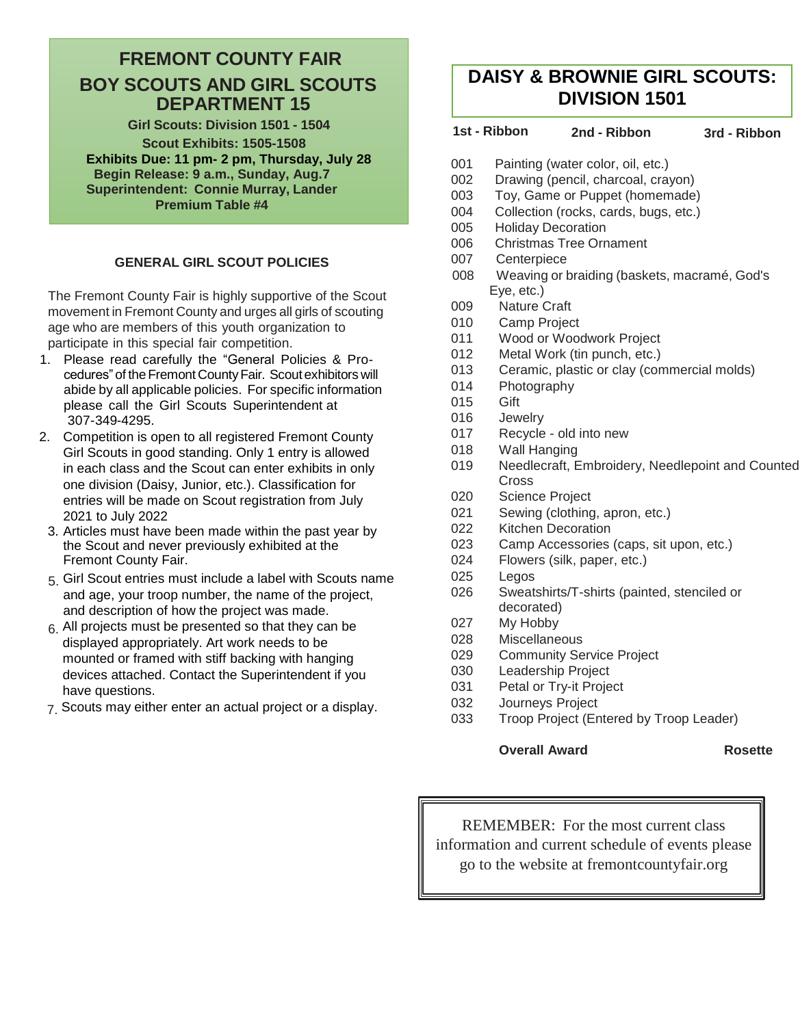## **FREMONT COUNTY FAIR BOY SCOUTS AND GIRL SCOUTS DEPARTMENT 15**

**Girl Scouts: Division 1501 - 1504 Scout Exhibits: 1505-1508 Exhibits Due: 11 pm- 2 pm, Thursday, July 28 Begin Release: 9 a.m., Sunday, Aug.7 Superintendent: Connie Murray, Lander Premium Table #4**

#### **GENERAL GIRL SCOUT POLICIES**

The Fremont County Fair is highly supportive of the Scout movement in Fremont County and urges all girls of scouting age who are members of this youth organization to participate in this special fair competition.

- 1. Please read carefully the "General Policies & Procedures" of the Fremont County Fair. Scout exhibitors will abide by all applicable policies. For specific information please call the Girl Scouts Superintendent at 307-349-4295.
- 2. Competition is open to all registered Fremont County Girl Scouts in good standing. Only 1 entry is allowed in each class and the Scout can enter exhibits in only one division (Daisy, Junior, etc.). Classification for entries will be made on Scout registration from July 2021 to July 2022
- 3. Articles must have been made within the past year by the Scout and never previously exhibited at the Fremont County Fair.
- 5. Girl Scout entries must include a label with Scouts name and age, your troop number, the name of the project, and description of how the project was made.
- $6.$  All projects must be presented so that they can be displayed appropriately. Art work needs to be mounted or framed with stiff backing with hanging devices attached. Contact the Superintendent if you have questions.
- 7. Scouts may either enter an actual project or a display.

# **DAISY & BROWNIE GIRL SCOUTS: DIVISION 1501**

### **1st - Ribbon 2nd - Ribbon 3rd - Ribbon**

- 001 Painting (water color, oil, etc.)
- 002 Drawing (pencil, charcoal, crayon)
- 003 Toy, Game or Puppet (homemade)
- 004 Collection (rocks, cards, bugs, etc.)
- 005 Holiday Decoration
- 006 Christmas Tree Ornament
- 007 Centerpiece
- 008 Weaving or braiding (baskets, macramé, God's Eye, etc.)
- 009 Nature Craft
- 010 Camp Project
- 011 Wood or Woodwork Project
- 012 Metal Work (tin punch, etc.)
- 013 Ceramic, plastic or clay (commercial molds)
- 014 Photography
- 015 Gift
- 016 Jewelry
- 017 Recycle old into new
- 018 Wall Hanging
- 019 Needlecraft, Embroidery, Needlepoint and Counted **Cross**
- 020 Science Project
- 021 Sewing (clothing, apron, etc.)
- 022 Kitchen Decoration
- 023 Camp Accessories (caps, sit upon, etc.)
- 024 Flowers (silk, paper, etc.)
- 025 Legos
- 026 Sweatshirts/T-shirts (painted, stenciled or decorated)
- 027 My Hobby
- 028 Miscellaneous
- 029 Community Service Project
- 030 Leadership Project
- 031 Petal or Try-it Project
- 032 Journeys Project
- 033 Troop Project (Entered by Troop Leader)

#### **Overall Award Rosette**

REMEMBER: For the most current class information and current schedule of events please go to the website at fremontcountyfair.org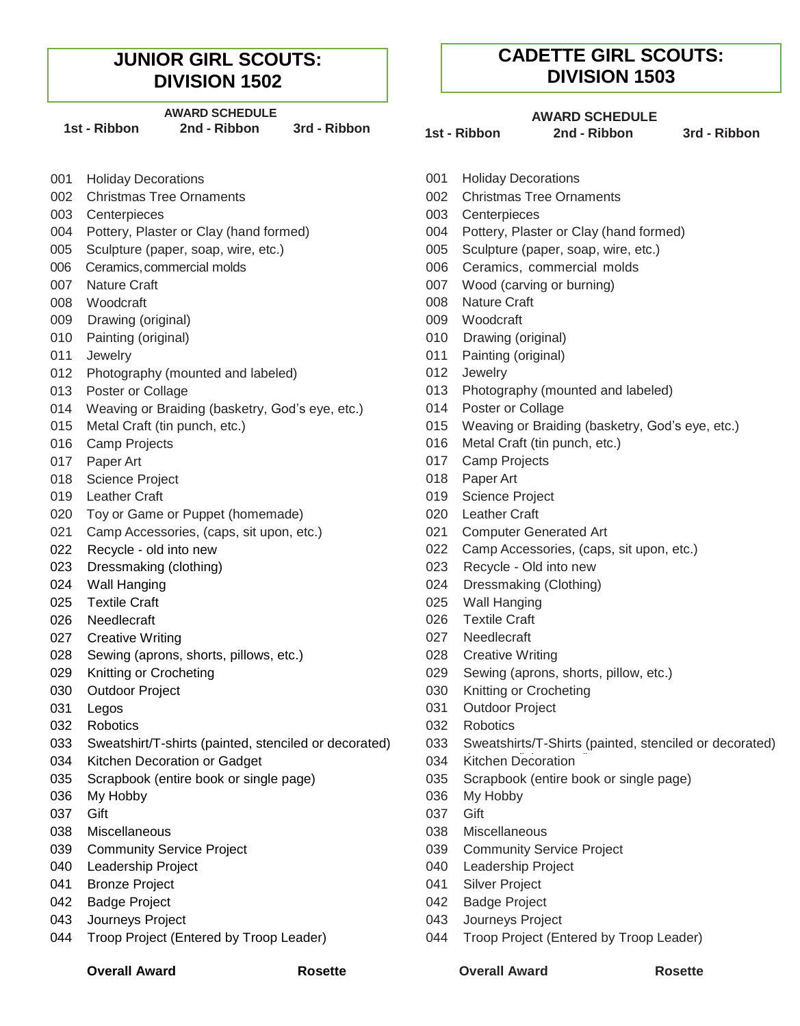## **JUNIOR GIRL SCOUTS: DIVISION 1502**

#### **AWARD SCHEDULE**

| 1st - Ribbon |                         | <b>2nd - Ribbon</b>          | 3rd - Ribbon |  |
|--------------|-------------------------|------------------------------|--------------|--|
|              | 001 Holiday Decorations |                              |              |  |
|              |                         | 002 Christmas Tree Ornaments |              |  |
|              | 003 Centerpieces        |                              |              |  |

- 
- 005 Sculpture (paper, soap, wire, etc.) 005 Sculpture (paper, soap, wire, etc.)
- 
- 
- 008 Woodcraft 008 Nature Craft
- 009 Drawing (original) 009 Woodcraft
- 
- 
- 012 Photography (mounted and labeled) 012 Jewelry
- 
- 014 Weaving or Braiding (basketry, God's eye, etc.) 014 Poster or Collage
- 
- 
- 
- 018 Science Project 018 Paper Art
- 
- 020 Toy or Game or Puppet (homemade) 020 Leather Craft
- 021 Camp Accessories, (caps, sit upon, etc.) 021 Computer Generated Art
- 
- 
- 
- 
- 026 Needlecraft 026 Textile Craft
- 027 Creative Writing **027 Needlecraft**
- 028 Sewing (aprons, shorts, pillows, etc.) 028 Creative Writing
- 
- 
- 
- 
- 
- 034 Kitchen Decoration or Gadget 034 Kitchen Decoration 034
- 035 Scrapbook (entire book or single page) 035 Scrapbook (entire book or single page)
- 036 My Hobby 036 My Hobby
- 
- 038 Miscellaneous 038 Miscellaneous
- 039 Community Service Project **Community Service Project 039** Community Service Project
- 
- 041 Bronze Project **041 Silver Project** 641 Silver Project
- 042 Badge Project **DESET ACCESS** 042 Badge Project
- 043 Journeys Project 043 Journeys Project
- 044 Troop Project (Entered by Troop Leader) 044 Troop Project (Entered by Troop Leader)

**CADETTE GIRL SCOUTS: DIVISION 1503**

#### **AWARD SCHEDULE**

**1st - Ribbon 2nd - Ribbon 3rd - Ribbon 1st - Ribbon**

**2nd - Ribbon 3rd - Ribbon**

- 001 Holiday Decorations
- 002 Christmas Tree Ornaments 002 Christmas Tree Ornaments
- 003 Centerpieces 003 Centerpieces
- 004 Pottery, Plaster or Clay (hand formed) 004 Pottery, Plaster or Clay (hand formed)
	-
- 006 Ceramics,commercial molds 006 Ceramics, commercial molds
- 007 Nature Craft **007 Nature Craft** 1007 Nood (carving or burning)
	-
	-
- 010 Painting (original) 010 Drawing (original)
- 011 Jewelry **Demand Accord 12 Jewelry 1011 Painting (original)** 
	-
- 013 Poster or Collage 013 Photography (mounted and labeled)
	-
- 015 Metal Craft (tin punch, etc.) 015 Weaving or Braiding (basketry, God's eye, etc.)
- 016 Camp Projects **016** Camp Crojects **1016** Camp Projects **1016** Craft (tin punch, etc.)
- 017 Paper Art **Details and Contract Contract Contract Contract Contract Contract Contract Contract Contract Contract Contract Contract Contract Contract Contract Contract Contract Contract Contract Contract Contract Contra** 
	-
- 019 Leather Craft **Craft** Contract Construction Construction Construction Construction Construction Construction Construction Construction Construction Construction Construction Construction Construction Construction Const
	-
	-
- 022 Recycle old into new example of the control of the control of the capacity caps, situpon, etc.)
- 023 Dressmaking (clothing) 023 Recycle Old into new
- 024 Wall Hanging **024 Dressmaking (Clothing)**
- 025 Textile Craft **125 Contract 125 Contract 125 Contract 125 Contract 125 Contract 125 Contract 125 Contract 125 Contract 125 Contract 125 Contract 125 Contract 125 Contract 125 Contract 125 Contract 125 Contract 125 Cont** 
	-
	-
	-
- 029 Knitting or Crocheting **029** Sewing (aprons, shorts, pillow, etc.)
- 030 Outdoor Project **030** Cutobook Crocheting or Crocheting or Crocheting or Crocheting or Crocheting or Crocheting or Crocheting or Crocheting or Crocheting or Crocheting or Crocheting or Crocheting or Crocheting or Croch
- 031 Legos 031 Outdoor Project
- 032 Robotics 032 Robotics
- 033 Sweatshirt/T-shirts (painted, stenciled or decorated) 033 Sweatshirts/T-Shirts (painted, stenciled or decorated)
	-
	-
	-
- 037 Gift **037 Gift** 
	-
	-
- 040 Leadership Project **Contract Contract Contract Contract Contract Contract Contract Contract Contract Contract Contract Contract Contract Contract Contract Contract Contract Contract Contract Contract Contract Contract** 
	-
	-
	-
	-

**Overall Award Rosette Overall Award Rosette**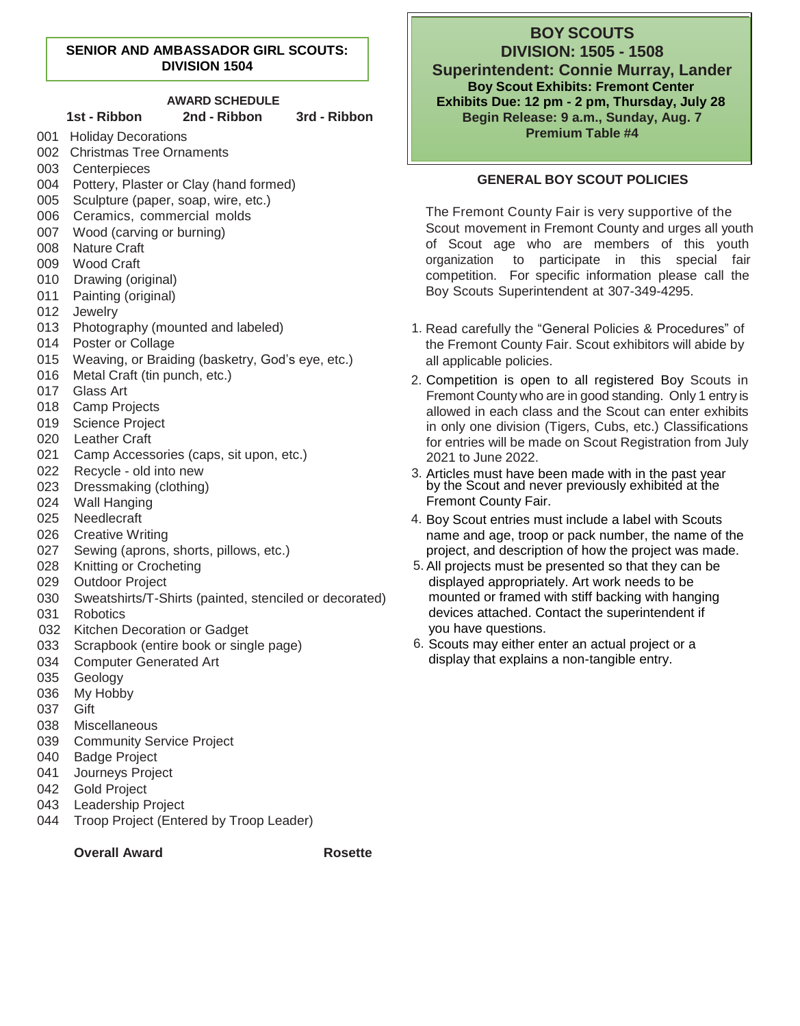#### **SENIOR AND AMBASSADOR GIRL SCOUTS: DIVISION 1504**

#### **AWARD SCHEDULE 1st - Ribbon 2nd - Ribbon 3rd - Ribbon** 001 Holiday Decorations 002 Christmas Tree Ornaments 003 Centerpieces 004 Pottery, Plaster or Clay (hand formed) 005 Sculpture (paper, soap, wire, etc.) 006 Ceramics, commercial molds 007 Wood (carving or burning) 008 Nature Craft 009 Wood Craft 010 Drawing (original) 011 Painting (original) 012 Jewelry 013 Photography (mounted and labeled) 014 Poster or Collage 015 Weaving, or Braiding (basketry, God's eye, etc.) 016 Metal Craft (tin punch, etc.) 017 Glass Art 018 Camp Projects 019 Science Project 020 Leather Craft 021 Camp Accessories (caps, sit upon, etc.) 022 Recycle - old into new 023 Dressmaking (clothing) 024 Wall Hanging 025 Needlecraft 026 Creative Writing 027 Sewing (aprons, shorts, pillows, etc.) 028 Knitting or Crocheting 029 Outdoor Project 030 Sweatshirts/T-Shirts (painted, stenciled or decorated) 031 Robotics 032 Kitchen Decoration or Gadget 033 Scrapbook (entire book or single page)

- 034 Computer Generated Art
- 035 Geology
- 036 My Hobby
- 037 Gift
- 038 Miscellaneous
- 039 Community Service Project
- 040 Badge Project
- 041 Journeys Project
- 042 Gold Project
- 043 Leadership Project
- 044 Troop Project (Entered by Troop Leader)

**Overall Award Rosette** 

# **BOY SCOUTS**

**DIVISION: 1505 - 1508 Superintendent: Connie Murray, Lander Boy Scout Exhibits: Fremont Center Exhibits Due: 12 pm - 2 pm, Thursday, July 28 Begin Release: 9 a.m., Sunday, Aug. 7 Premium Table #4**

#### **GENERAL BOY SCOUT POLICIES**

The Fremont County Fair is very supportive of the Scout movement in Fremont County and urges all youth of Scout age who are members of this youth organization to participate in this special fair competition. For specific information please call the Boy Scouts Superintendent at 307-349-4295.

- 1. Read carefully the "General Policies & Procedures" of the Fremont County Fair. Scout exhibitors will abide by all applicable policies.
- 2. Competition is open to all registered Boy Scouts in Fremont County who are in good standing. Only 1 entry is allowed in each class and the Scout can enter exhibits in only one division (Tigers, Cubs, etc.) Classifications for entries will be made on Scout Registration from July 2021 to June 2022.
- 3. Articles must have been made with in the past year by the Scout and never previously exhibited at the Fremont County Fair.
- 4. Boy Scout entries must include a label with Scouts name and age, troop or pack number, the name of the project, and description of how the project was made.
- 5. All projects must be presented so that they can be displayed appropriately. Art work needs to be mounted or framed with stiff backing with hanging devices attached. Contact the superintendent if you have questions.
- 6. Scouts may either enter an actual project or a display that explains a non-tangible entry.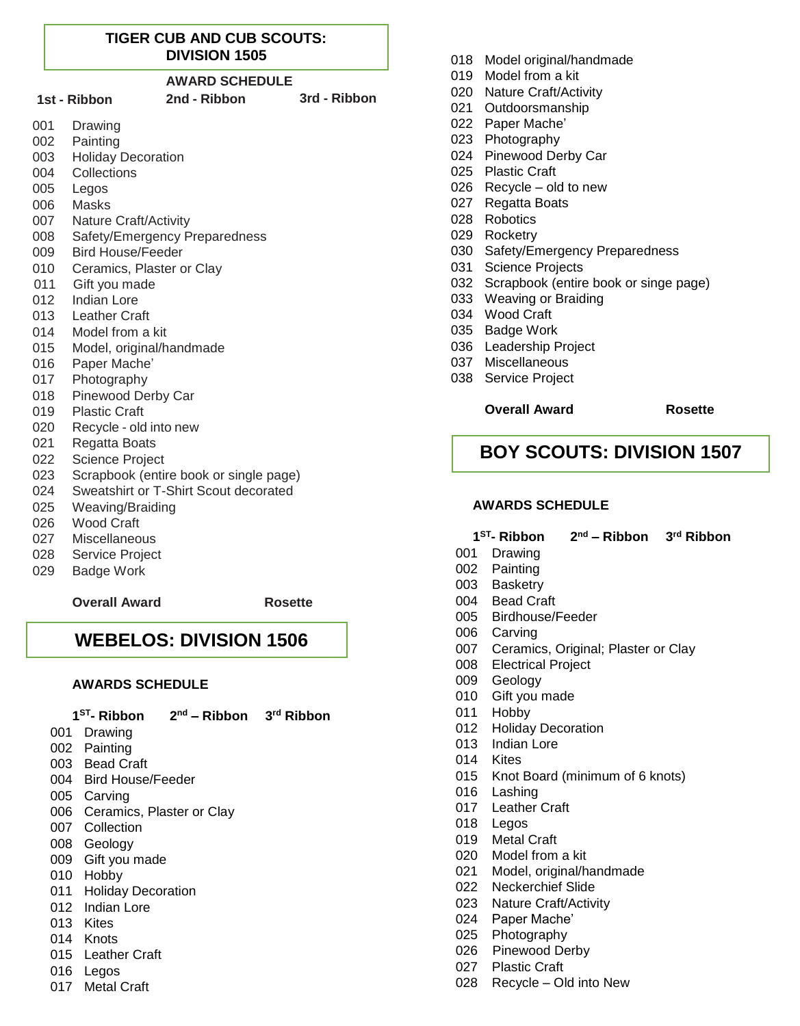#### **TIGER CUB AND CUB SCOUTS: DIVISION 1505**

#### **AWARD SCHEDULE**

- **1st - Ribbon 2nd - Ribbon 3rd - Ribbon**
- Drawing
- Painting
- Holiday Decoration
- Collections
- Legos
- Masks
- Nature Craft/Activity
- Safety/Emergency Preparedness
- Bird House/Feeder
- Ceramics, Plaster or Clay
- Gift you made
- Indian Lore
- Leather Craft
- Model from a kit
- Model, original/handmade
- Paper Mache'
- Photography
- Pinewood Derby Car
- Plastic Craft
- Recycle old into new
- Regatta Boats
- Science Project
- Scrapbook (entire book or single page)
- Sweatshirt or T-Shirt Scout decorated
- Weaving/Braiding
- Wood Craft
- Miscellaneous
- Service Project
- Badge Work

#### **Overall Award Rosette**

## **WEBELOS: DIVISION 1506**

#### **AWARDS SCHEDULE**

| 1 <sup>ST</sup> - Ribbon |               | $2nd$ – Ribbon $3rd$ Ribbon |  |
|--------------------------|---------------|-----------------------------|--|
|                          | $001$ Drowing |                             |  |

- Drawing
- Painting
- Bead Craft
- Bird House/Feeder
- Carving
- Ceramics, Plaster or Clay
- Collection
- Geology
- Gift you made
- Hobby
- Holiday Decoration
- Indian Lore
- Kites
- Knots
- Leather Craft
- Legos
- Metal Craft
- Model original/handmade
- Model from a kit
- Nature Craft/Activity
- Outdoorsmanship
- Paper Mache'
- Photography
- Pinewood Derby Car
- Plastic Craft
- Recycle old to new
- Regatta Boats
- Robotics
- Rocketry
- Safety/Emergency Preparedness
- Science Projects
- Scrapbook (entire book or singe page)
- Weaving or Braiding
- Wood Craft
- Badge Work
- Leadership Project
- Miscellaneous
- Service Project

#### **Overall Award Rosette**

## **BOY SCOUTS: DIVISION 1507**

#### **AWARDS SCHEDULE**

- **ST - Ribbon 2 nd – Ribbon 3 rd Ribbon**
- 001 Drawing
- 002 Painting
- 003 Basketry
- 004 Bead Craft
- 005 Birdhouse/Feeder
- 006 Carving
- 007 Ceramics, Original; Plaster or Clay
- 008 Electrical Project
- 009 Geology
- 010 Gift you made
- 011 Hobby
- 012 Holiday Decoration
- 013 Indian Lore
- 014 Kites
- 015 Knot Board (minimum of 6 knots)
- 016 Lashing
- 017 Leather Craft
- 018 Legos
- 019 Metal Craft

020 Model from a kit

022 Neckerchief Slide 023 Nature Craft/Activity 024 Paper Mache' 025 Photography 026 Pinewood Derby 027 Plastic Craft

021 Model, original/handmade

028 Recycle – Old into New